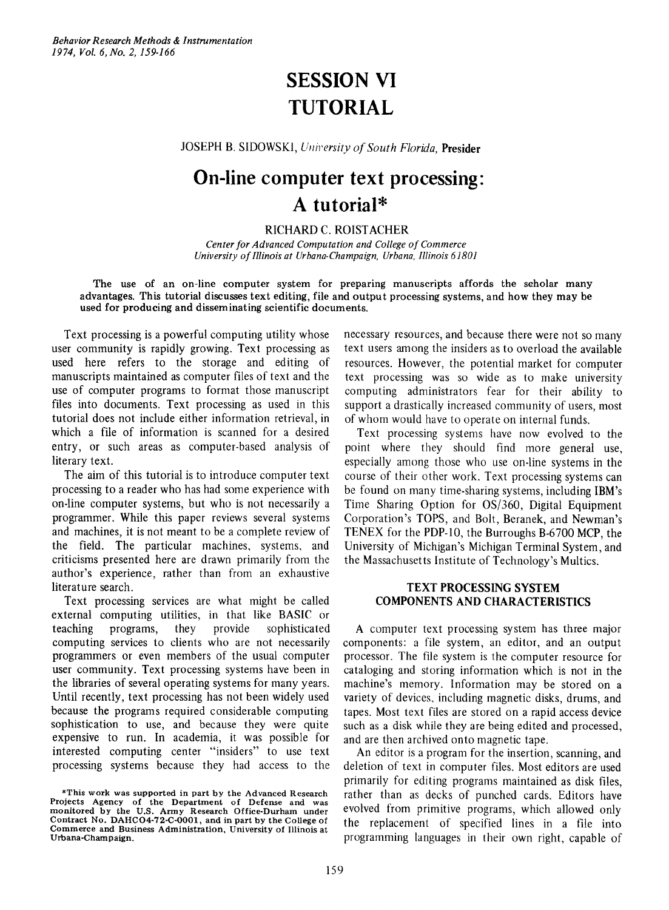# **SESSION VI TUTORIAL**

JOSEPH B. SIDOWSKI, University of South Florida, Presider

# **On-line computer text processing: A tutorial\***

# RICHARD C. ROISTACHER

*Center for Advanced Computation and College of Commerce University ofIllinois at Urbana-Champaign, Urbana, Illinois 61801*

The use of an on-line computer system for preparing manuscripts affords the scholar many advantages. This tutorial discusses text editing, file and output processing systems, and how they may be used for producing and disseminating scientific documents.

Text processing is a powerful computing utility whose user community is rapidly growing. Text processing as used here refers to the storage and editing of manuscripts maintained as computer files of text and the use of computer programs to format those manuscript files into documents. Text processing as used in this tutorial does not include either information retrieval, in which a file of information is scanned for a desired entry, or such areas as computer-based analysis of literary text.

The aim of this tutorial is to introduce computer text processing to a reader who has had some experience with on-line computer systems, but who is not necessarily a programmer. While this paper reviews several systems and machines, it is not meant to be a complete review of the field. The particular machines, systems, and criticisms presented here are drawn primarily from the author's experience, rather than from an exhaustive literature search.

Text processing services are what might be called external computing utilities, in that like BASIC or teaching programs, they provide sophisticated computing services to clients who are not necessarily programmers or even members of the usual computer user community. Text processing systems have been in the libraries of several operating systems for many years. Until recently, text processing has not been widely used because the programs required considerable computing sophistication to use, and because they were quite expensive to run. In academia, it was possible for interested computing center "insiders" to use text processing systems because they had access to the

necessary resources, and because there were not so many text users among the insiders as to overload the available resources. However, the potential market for computer text processing was so wide as to make university computing administrators fear for their ability to support a drastically increased community of users, most of whom would have to operate on internal funds.

Text processing systems have now evolved to the point where they should find more general use, especially among those who use on-line systems in the course of their other work. Text processing systems can be found on many time-sharing systems, including IBM's Time Sharing Option for OS/360, Digital Equipment Corporation's TOPS, and Bolt, Beranek, and Newman's TENEX for the PDP-lO, the Burroughs B-6700 MCP, the University of Michigan's Michigan Terminal System, and the Massachusetts Institute of Technology's Multics.

# TEXT **PROCESSING SYSTEM COMPONENTS** AND **CHARACTERISTICS**

A computer text processing system has three major components: a file system, an editor, and an output processor. The file system is the computer resource for cataloging and storing information which is not in the machine's memory. Information may be stored on a variety of devices, including magnetic disks, drums, and tapes. Most text files are stored on a rapid access device such as a disk while they are being edited and processed, and are then archived onto magnetic tape.

An editor is a program for the insertion, scanning, and deletion of text in computer files. Most editors are used primarily for editing programs maintained as disk files, rather than as decks of punched cards. Editors have evolved from primitive programs, which allowed only the replacement of specified lines in a file into programming languages in their own right, capable of

<sup>\*</sup>This work was supported in part by the Advanced Research Projects Agency of the Department of Defense and was monitored by the U.S. Army Research Office-Durham under Contract No. DAHC04-72-C-0001, and in part by the College of Commerce and Business Administration. University of Illinois at Urbana-Champaign.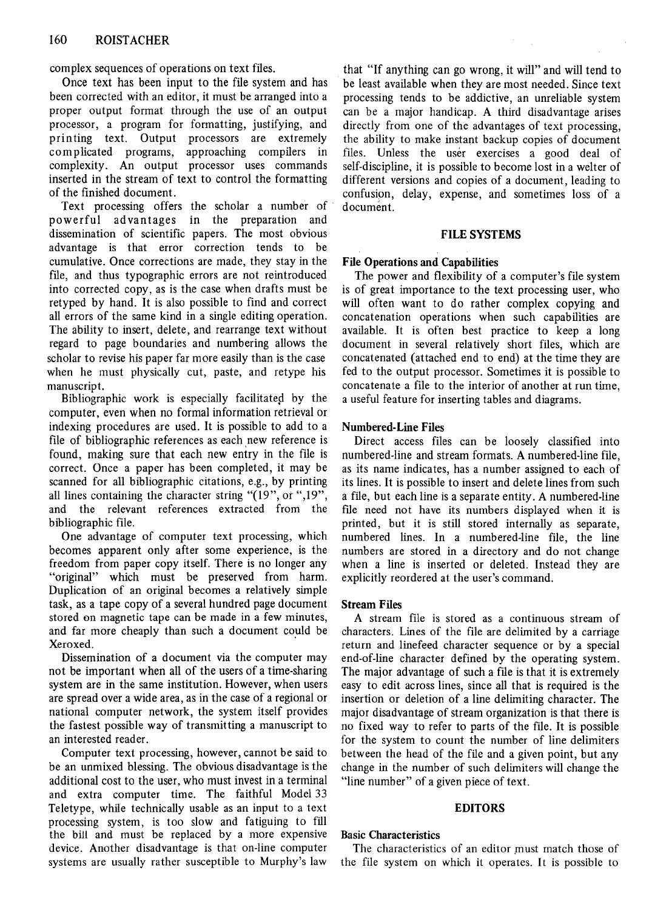complex sequences of operations on text files.

Once text has been input to the file system and has been corrected with an editor, it must be arranged into a proper output format through the use of an output processor, a program for formatting, justifying, and printing text. Output processors are extremely complicated programs, approaching compilers in complexity. An output processor uses commands inserted in the stream of text to control the formatting of the finished document.

Text processing offers the scholar a number of' powerful ad van tages in the preparation and dissemination of scientific papers. The most obvious advantage is that error correction tends to be cumulative. Once corrections are made, they stay in the file, and thus typographic errors are not reintroduced into corrected copy, as is the case when drafts must be retyped by hand. It is also possible to find and correct all errors of the same kind in a single editing operation. The ability to insert, delete, and rearrange text without regard to page boundaries and numbering allows the scholar to revise his paper far more easily than is the case when he must physically cut, paste, and retype his manuscript.

Bibliographic work is especially facilitated by the computer, even when no formal information retrieval or indexing procedures are used. It is possible to add to a file of bibliographic references as each new reference is found, making sure that each new entry in the file is correct. Once a paper has been completed, it may be scanned for all bibliographic citations, e.g., by printing all lines containing the character string "(19", or ",19", and the relevant references extracted from the bibliographic file.

One advantage of computer text processing, which becomes apparent only after some experience, is the freedom from paper copy itself. There is no longer any "original" which must be preserved from harm. Duplication of an original becomes a relatively simple task, as a tape copy of a several hundred page document stored on magnetic tape can be made in a few minutes, and far more cheaply than such a document could be Xeroxed.

Dissemination of a document via the computer may not be important when all of the users of a time-sharing system are in the same institution. However, when users are spread over a wide area, as in the case of a regional or national computer network, the system itself provides the fastest possible way of transmitting a manuscript to an interested reader.

Computer text processing, however, cannot be said to be an unmixed blessing. The obvious disadvantage is the additional cost to the user, who must invest in a terminal and extra computer time. The faithful Model 33 Teletype, while technically usable as an input to a text processing system, is too slow and fatiguing to fill the bill and must be replaced by a more expensive device. Another disadvantage is that on-line computer systems are usually rather susceptible to Murphy's law

that "If anything can go wrong, it will" and will tend to be least available when they are most needed. Since text processing tends to be addictive, an unreliable system can be a major handicap. A third disadvantage arises directly from one of the advantages of text processing, the ability to make instant backup copies of document files. Unless the user exercises a good deal of self-discipline, it is possible to become lost in a welter of different versions and copies of a document, leading to confusion, delay, expense, and sometimes loss of a document.

# **FILE** SYSTEMS

### File Operations and Capabilities

The power and flexibility of a computer's file system is of great importance to the text processing user, who will often want to do rather complex copying and concatenation operations when such capabilities are available. It is often best practice to keep a long document in several relatively short files, which are concatenated (attached end to end) at the time they are fed to the output processor. Sometimes it is possible to concatenate a file to the interior of another at run time, a useful feature for inserting tables and diagrams.

## Numbered-Line Files

Direct access files can be loosely classified into numbered-line and stream formats. A numbered-line file, as its name indicates, has a number assigned to each of its lines. It is possible to insert and delete lines from such a file, but each line is a separate entity. A numbered-line file need not have its numbers displayed when it is printed, but it is still stored internally as separate, numbered lines. In a numbered-line file, the line numbers are stored in a directory and do not change when a line is inserted or deleted. Instead they are explicitly reordered at the user's command.

#### Stream Files

A stream file is stored as a continuous stream of characters. Lines of the file are delimited by a carriage return and linefeed character sequence or by a special end-of-line character defined by the operating system. The major advantage of such a file is that it is extremely easy to edit across lines, since all that is required is the insertion or deletion of a line delimiting character. The major disadvantage of stream organization isthat there is no fixed way to refer to parts of the file. It is possible for the system to count the number of line delimiters between the head of the file and a given point, but any change in the number of such delimiters will change the "line number" of a given piece of text.

#### EDITORS

#### Basic Characteristics

The characteristics of an editor must match those of the file system on which it operates. It is possible to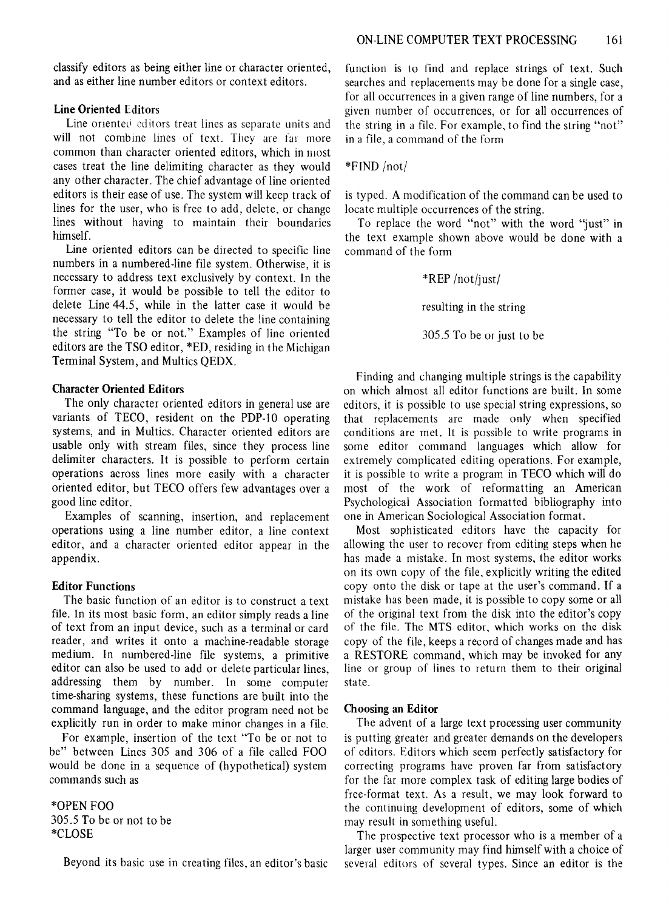classify editors as being either line or character oriented, and as either line number editors or context editors.

## Line Oriented Editors

Line oriented editors treat lines as separate units and will not combine lines of text. They are far more common than character oriented editors, which in most cases treat the line delimiting character as they would any other character. The chief advantage of line oriented editors is their ease of use. The system will keep track of lines for the user, who is free to add, delete, or change lines without having to maintain their boundaries himself.

Line oriented editors can be directed to specific line numbers in a numbered-line file system. Otherwise, it is necessary to address text exclusively by context. In the former case, it would be possible to tell the editor to delete Line 44.5, while in the latter case it would be necessary to tell the editor to delete the line containing the string "To be or not." Examples of line oriented editors are the TSO editor, \*ED, residing in the Michigan Terminal System, and Multics QEDX.

## Character **Oriented Editors**

The only character oriented editors in general use are variants of TECO, resident on the PDP-10 operating systems, and in Multics. Character oriented editors are usable only with stream files, since they process line delimiter characters. It is possible to perform certain operations across lines more easily with a character oriented editor, but TECO offers few advantages over a good line editor.

Examples of scanning, insertion, and replacement operations using a line number editor, a line context editor, and a character oriented editor appear in the appendix.

### **Editor** Functions

The basic function of an editor is to construct a text file. In its most basic form. an editor simply reads a line of text from an input device, such as a terminal or card reader, and writes it onto a machine-readable storage medium. In numbered-line file systems, a primitive editor can also be used to add or delete particular lines, addressing them by number. In some computer time-sharing systems, these functions are built into the command language, and the editor program need not be explicitly run in order to make minor changes in a file.

For example, insertion of the text "To be or not to be" between Lines 305 and 306 of a file called FOO would be done in a sequence of (hypothetical) system commands such as

# \*OPEN FOO 305.5 To be or not to be \*CLOSE

Beyond its basic use in creating files, an editor's basic

function is to find and replace strings of text. Such searches and replacements may be done for a single case, for all occurrences in a given range of line numbers, for a given number of occurrences, or for all occurrences of the string in a file. For example. to find the string "not" in a file, a command of the form

\*FlND *Inotl*

is typed. A modification of the command can be used to locate multiple occurrences of the string.

To replace the word "not" with the word "just" in the text example shown above would be done with a command of the form

\*REP *Inot/justl*

resulting in the string

305.5 To be or just to be

Finding and changing multiple strings is the capability on which almost all editor functions are built. In some editors, it is possible to use special string expressions, so that replacements are made only when specified conditions are met. It is possible to write programs in some editor command languages which allow for extremely complicated editing operations. For example, it is possible to write a program in TECO which will do most of the work of reformatting an American Psychological Association formatted bibliography into one in American Sociological Association format.

Most sophisticated editors have the capacity for allowing the user to recover from editing steps when he has made a mistake. In most systems, the editor works on its own copy of the file. explicitly writing the edited copy onto the disk or tape at the user's command. If a mistake has been made, it is possible to copy some or all of the original text from the disk into the editor's copy of the file. The MTS editor. which works on the disk copy of the file, keeps a record of changes made and has a RESTORE command, which may be invoked for any line or group of lines to return them to their original state.

## Choosing **anEditor**

The advent of a large text processing user community is putting greater and greater demands on the developers of editors. Editors which seem perfectly satisfactory for correcting programs have proven far from satisfactory for the far more complex task of editing large bodies of free-format text. As a result, we may look forward to the continuing development of editors, some of which may result in something useful.

The prospective text processor who is a member of a larger user community may find himself with a choice of several editors of several types. Since an editor is the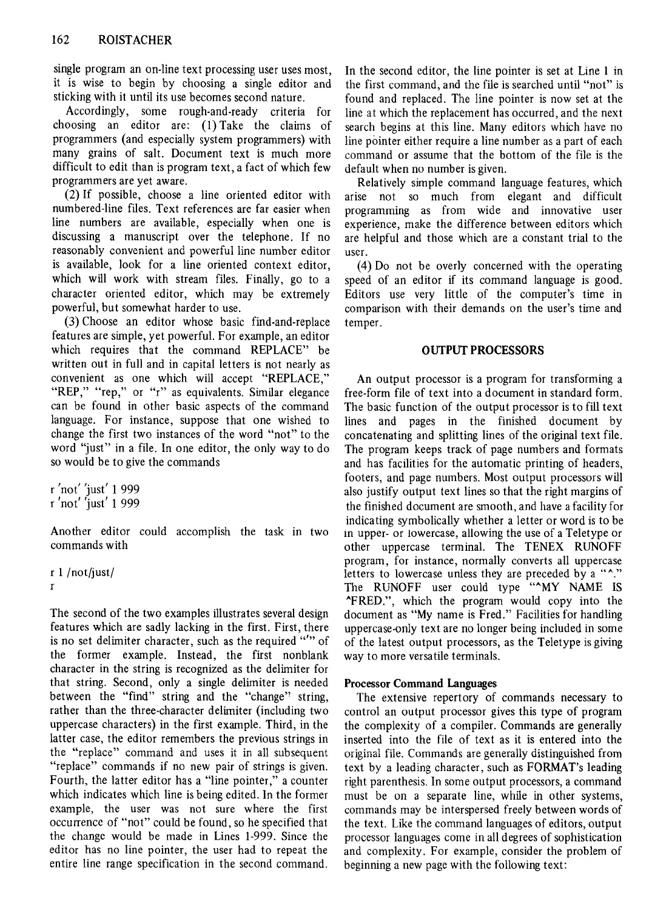single program an on-line text processing user uses most, it is wise to begin by choosing a single editor and sticking with it until its use becomes second nature.

Accordingly, some rough-and-ready criteria for choosing an editor are: (1) Take the claims of programmers (and especially system programmers) with many grains of salt. Document text is much more difficult to edit than is program text, a fact of which few programmers are yet aware.

(2) If possible, choose a line oriented editor with numbered-line files. Text references are far easier when line numbers are available, especially when one is discussing a manuscript over the telephone. If no reasonably convenient and powerful line number editor is available, look for a line oriented context editor, which will work with stream files. Finally, go to a character oriented editor, which may be extremely powerful, but somewhat harder to use.

(3) Choose an editor whose basic find-and-replace features are simple, yet powerful. For example, an editor which requires that the command REPLACE" be written out in full and in capital letters is not nearly as convenient as one which will accept "REPLACE," "REP," "rep," or "r" as equivalents. Similar elegance can be found in other basic aspects of the command language. For instance, suppose that one wished to change the first two instances of the word "not" to the word "just" in a file. In one editor, the only way to do so would be to give the commands

r 'not' 'just' 1 999 r 'not' 'just' 1 999

Another editor could accomplish the task in two commands with

r 1 /not/just/ r

The second of the two examples illustrates several design features which are sadly lacking in the first. First, there is no set delimiter character, such as the required "" of the former example. Instead, the first nonblank character in the string is recognized as the delimiter for that string. Second, only a single delimiter is needed between the "find" string and the "change" string, rather than the three-character delimiter (including two uppercase characters) in the first example. Third, in the latter case, the editor remembers the previous strings in the "replace" command and uses it in all subsequent "replace" commands if no new pair of strings is given. Fourth, the latter editor has a "line pointer," a counter which indicates which line is being edited. In the former example, the user was not sure where the first occurrence of "not" could be found, so he specified that the change would be made in Lines 1-999. Since the editor has no line pointer, the user had to repeat the entire line range specification in the second command. In the second editor, the line pointer is set at Line I in the first command, and the file is searched until "not" is found and replaced. The line pointer is now set at the line at which the replacement has occurred, and the next search begins at this line. Many editors which have no line pointer either require a line number as a part of each command or assume that the bottom of the file is the default when no number is given.

Relatively simple command language features, which arise not so much from elegant and difficult programming as from wide and innovative user experience, make the difference between editors which are helpful and those which are a constant trial to the user.

(4) Do not be overly concerned with the operating speed of an editor if its command language is good. Editors use very little of the computer's time in comparison with their demands on the user's time and temper.

# OUTPUT PROCESSORS

An output processor is a program for transforming a free-form file of text into a document in standard form. The basic function of the output processor is to fill text lines and pages in the finished document by concatenating and splitting lines of the original text file. The program keeps track of page numbers and formats and has facilities for the automatic printing of headers, footers, and page numbers. Most output processors will also justify output text lines so that the right margins of the finished document are smooth, and have a facility for indicating symbolically whether a letter or word is to be in upper- or lowercase, allowing the use of a Teletype or other uppercase terminal. The TENEX RUNOFF program, for instance, normally converts all uppercase letters to lowercase unless they are preceded by a ""." The RUNOFF user could type "AMY NAME IS AFRED.", which the program would copy into the document as "My name is Fred." Facilities for handling uppercase-only text are no longer being included in some of the latest output processors, as the Teletype is giving way to more versatile terminals.

# Processor Command Languages

The extensive repertory of commands necessary to control an output processor gives this type of program the complexity of a compiler. Commands are generally inserted into the file of text as it is entered into the original file. Commands are generally distinguished from text by a leading character, such as FORMAT's leading right parenthesis. In some output processors, a command must be on a separate line, while in other systems, commands may be interspersed freely between words of the text. Like the command languages of editors, output processor languages come in all degrees of sophistication and complexity. For example, consider the problem of beginning a new page with the following text: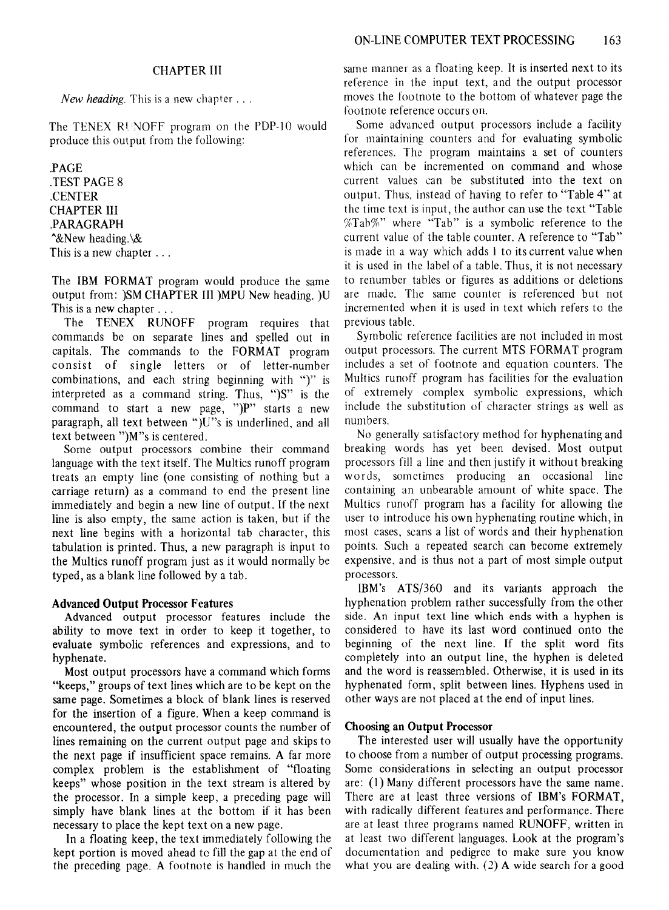# CHAPTER III

*New heading.* This is a new chapter ...

The TENEX RUNOFF program on the PDP-10 would produce this output from the following:

.PAGE .TEST PAGE 8 .CENTER CHAPTER III .PARAGRAPH "&New heading.\& This is a new chapter ...

The IBM FORMAT program would produce the same output from: )SM CHAPTER III )MPU New heading. )U This is a new chapter ...

The TENEX RUNOFF program requires that commands be on separate lines and spelled out in capitals. The commands to the FORMAT program consist of single letters or of letter-number combinations, and each string beginning with ")" is interpreted as a command string. Thus, ")S" is the command to start a new page, ")P" starts a new paragraph, all text between ")U"s is underlined, and all text between ")M"s is centered.

Some output processors combine their command language with the text itself. The Multics runoff program treats an empty line (one consisting of nothing but a carriage return) as a command to end the present line immediately and begin a new line of output. If the next line is also empty, the same action is taken, but if the next line begins with a horizontal tab character, this tabulation is printed. Thus, a new paragraph is input to the Multics runoff program just as it would normally be typed, as a blank line followed by a tab.

#### Advanced Output Processor Features

Advanced output processor features include the ability to move text in order to keep it together, to evaluate symbolic references and expressions, and to hyphenate.

Most output processors have a command which forms "keeps," groups of text lines which are to be kept on the same page. Sometimes a block of blank lines is reserved for the insertion of a figure. When a keep command is encountered, the output processor counts the number of lines remaining on the current output page and skips to the next page if insufficient space remains. A far more complex problem is the establishment of "floating keeps" whose position in the text stream is altered by the processor. In a simple keep, a preceding page will simply have blank lines at the bottom if it has been necessary to place the kept text on a new page.

In a floating keep, the text immediately following the kept portion is moved ahead to fill the gap at the end of the preceding page. A footnote is handled in much the same manner as a floating keep. It is inserted next to its reference in the input text, and the output processor moves the footnote to the bottom of whatever page the footnote reference occurs on.

Some advanced output processors include a facility for maintaining counters and for evaluating symbolic references. The program maintains a set of counters which can be incremented on command and whose current values can be substituted into the text on output. Thus, instead of having to refer to "Table 4" at the time text is input, the author can use the text "Table %Tah%" where "Tab" is a symbolic reference to the current value of the table counter. A reference to "Tab" is made in a way which adds I to its current value when it is used in the label of a table. Thus, it is not necessary to renumber tables or figures as additions or deletions are made. The same counter is referenced but not incremented when it is used in text which refers to the previous table.

Symbolic reference facilities are not included in most output processors. The current MTS FORMAT program includes a set of footnote and equation counters. The Multics runoff program has facilities for the evaluation of extremely complex symbolic expressions, which include the substitution of character strings as well as numbers.

No generally satisfactory method for hyphenating and breaking words has yet been devised. Most output processors fill a line and then justify it without breaking words, sometimes producing an occasional line containing an unbearable amount of white space. The Multics runoff program has a facility for allowing the user to introduce his own hyphenating routine which, in most cases, scans a list of words and their hyphenation points. Such a repeated search can become extremely expensive, and is thus not a part of most simple output processors.

IBM's ATS/360 and its variants approach the hyphenation problem rather successfully from the other side. An input text line which ends with a hyphen is considered to have its last word continued onto the beginning of the next line. If the split word fits completely into an output line, the hyphen is deleted and the word is reassembled. Otherwise, it is used in its hyphenated form, split between lines. Hyphens used in other ways are not placed at the end of input lines.

#### Choosing an Output Processor

The interested user will usually have the opportunity to choose from a number of output processing programs. Some considerations in selecting an output processor are: (1) Many different processors have the same name. There are at least three versions of IBM's FORMAT, with radically different features and performance. There are at least three programs named RUNOFF, written in at least two different languages. Look at the program's documentation and pedigree to make sure you know what you are dealing with. (2) A wide search for a good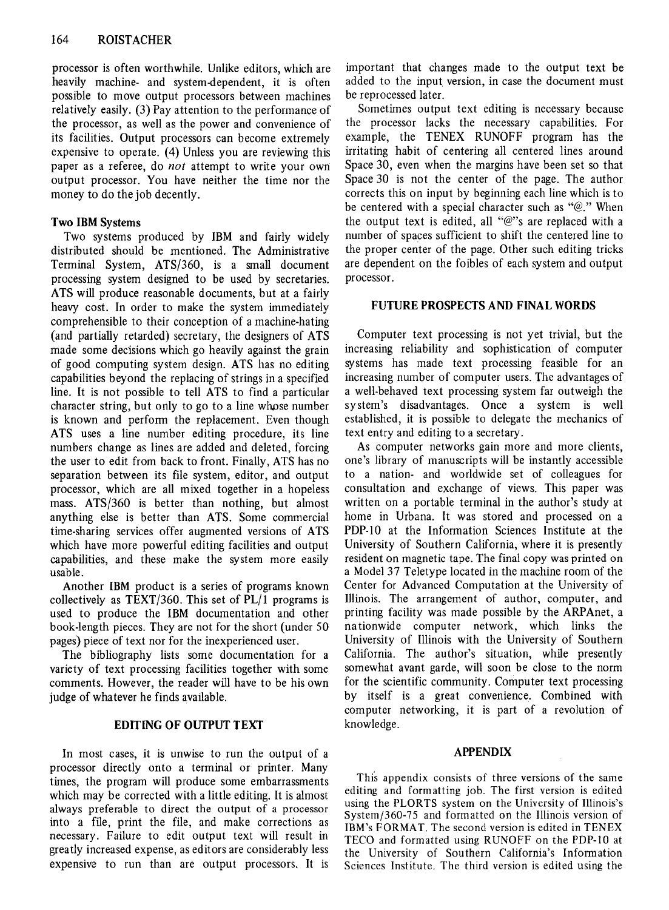processor is often worthwhile. Unlike editors, which are heavily machine- and system-dependent, it is often possible to move output processors between machines relatively easily. (3) Pay attention to the performance of the processor, as well as the power and convenience of its facilities. Output processors can become extremely expensive to operate. (4) Unless you are reviewing this paper as a referee, do *not* attempt to write your own output processor. You have neither the time nor the money to do the job decently.

# Two IBM Systems

Two systems produced by IBM and fairly widely distributed should be mentioned. The Administrative Terminal System, ATS/360, is a small document processing system designed to be used by secretaries. ATS will produce reasonable documents, but at a fairly heavy cost. In order to make the system immediately comprehensible to their conception of a machine-hating (and partially retarded) secretary, the designers of ATS made some decisions which go heavily against the grain of good computing system design. ATS has no editing capabilities beyond the replacing of strings in a specified line. It is not possible to tell ATS to find a particular character string, but only to go to a line whose number is known and perform the replacement. Even though ATS uses a line number editing procedure, its line numbers change as lines are added and deleted, forcing the user to edit from back to front. Finally, ATS has no separation between its file system, editor, and output processor, which are all mixed together in a hopeless mass. ATS/360 is better than nothing, but almost anything else is better than ATS. Some commercial time-sharing services offer augmented versions of ATS which have more powerful editing facilities and output capabilities, and these make the system more easily usable.

Another IBM product is a series of programs known collectively as  $TEXT/360$ . This set of  $PL/1$  programs is used to produce the IBM documentation and other book-length pieces. They are not for the short (under SO pages) piece of text nor for the inexperienced user.

The bibliography lists some documentation for a variety of text processing facilities together with some comments. However, the reader will have to be his own judge of whatever he finds available.

# EDITING OF OUTPUT TEXT

In most cases, it is unwise to run the output of a processor directly onto a terminal or printer. Many times, the program will produce some embarrassments which may be corrected with a little editing. It is almost always preferable to direct the output of a processor into a file, print the file, and make corrections as necessary. Failure to edit output text will result in greatly increased expense, as editors are considerably less expensive to run than are output processors. It is

important that changes made to the output text be added to the input version, in case the document must be reprocessed later.

Sometimes output text editing is necessary because the processor lacks the necessary capabilities. For example, the TENEX RUNOFF program has the irritating habit of centering all centered lines around Space 30, even when the margins have been set so that Space 30 is not the center of the page. The author corrects this on input by beginning each line which is to be centered with a special character such as "@." When the output text is edited, all "@"s are replaced with a number of spaces sufficient to shift the centered line to the proper center of the page. Other such editing tricks are dependent on the foibles of each system and output processor.

# FUTURE PROSPECTS AND FINAL WORDS

Computer text processing is not yet trivial, but the increasing reliability and sophistication of computer systems has made text processing feasible for an increasing number of computer users. The advantages of a well-behaved text processing system far outweigh the system's disadvantages. Once a system is well established, it is possible to delegate the mechanics of text entry and editing to a secretary.

As computer networks gain more and more clients, one's library of manuscripts will be instantly accessible to a nation- and worldwide set of colleagues for consultation and exchange of views. This paper was written on a portable terminal in the author's study at home in Urbana. It was stored and processed on a PDP-lO at the Information Sciences Institute at the University of Southern California, where it is presently resident on magnetic tape. The final copy was printed on a Model 37 Teletype located in the machine room of the Center for Advanced Computation at the University of Illinois. The arrangement of author, computer, and printing facility was made possible by the ARPAnet, a na tionwide computer network, which links the University of Illinois with the University of Southern California. The author's situation, while presently somewhat avant garde, will soon be close to the norm for the scientific community. Computer text processing by itself is a great convenience. Combined with computer networking, it is part of a revolution of knowledge.

#### APPENDIX

This appendix consists of three versions of the same editing and formatting job. The first version is edited using the PLORTS system on the University of Illinois's Systemj360-75 and formatted on the Illinois version of IBM's FORMAT. The second version is edited in TENEX TECO and formatted using RUNOFF on the PDP-IO at the University of Southern California's Information Sciences Institute. The third version is edited using the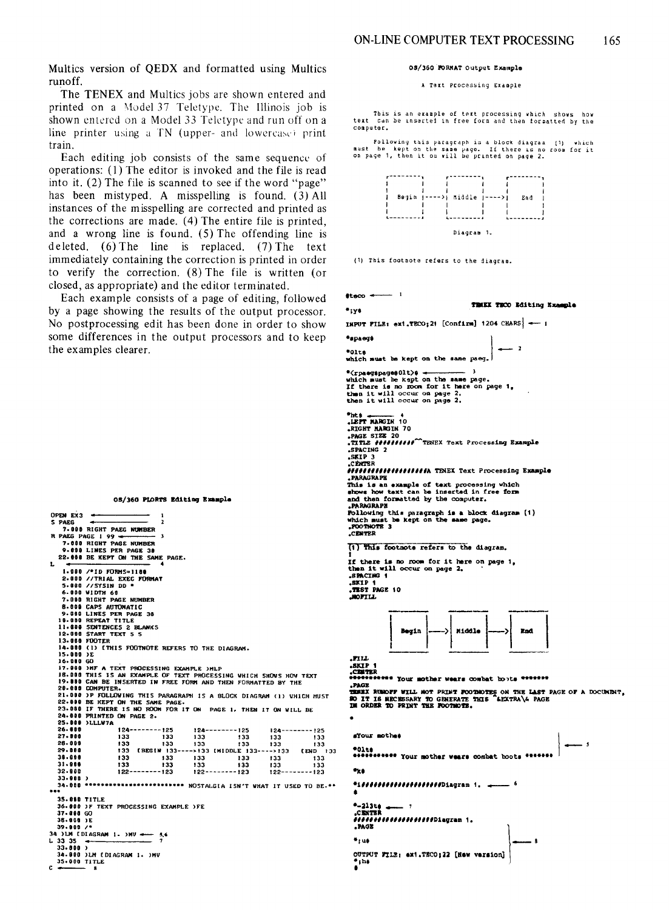#### Multics version of QEDX and formatted using Multics runoff.

The TENEX and Multics jobs are shown entered and printed on a Model 37 Teletype. The Illinois job is shown entered on a Model 33 Teletype and run off on a line printer using a TN (upper- and lowercase) print train.

Each editing job consists of the same sequence of operations: (I) The editor is invoked and the file is read into it. (2) The file is scanned to see if the word "page" has been mistyped. A misspelling is found. (3) All instances of the misspelling are corrected and printed as the corrections are made. (4) The entire file is printed, and a wrong line is found. (5) The offending line is deleted. (6) The line is replaced. (7) The text immediately containing the correction is printed in order to verify the correction. (8) The file is written (or closed, as appropriate) and the editor terminated.

Each example consists of a page of editing, followed by a page showing the results of the output processor. No postprocessing edit has been done in order to show some differences in the output processors and to keep the examples clearer.

#### OS/360 PLORTS Editing Example

| OPEN EX3                                                             |                                                                       | 1       |         |                                        |                |               |  |
|----------------------------------------------------------------------|-----------------------------------------------------------------------|---------|---------|----------------------------------------|----------------|---------------|--|
| S PAEG                                                               | $\overline{\phantom{a}}$                                              | 2       |         |                                        |                |               |  |
|                                                                      | 7.000 RIGHT PAEG NUMBER                                               |         |         |                                        |                |               |  |
|                                                                      |                                                                       |         |         |                                        |                |               |  |
|                                                                      | 7.000 RIGHT PAGE NUMBER                                               |         |         |                                        |                |               |  |
|                                                                      | 9.000 LINES PER PAGE 30                                               |         |         |                                        |                |               |  |
|                                                                      | 22.608 BE KEPT ON THE SAME PAGE.                                      |         |         |                                        |                |               |  |
| L                                                                    |                                                                       |         |         |                                        |                |               |  |
|                                                                      | $1.000$ /*ID FORMS=1188                                               |         |         |                                        |                |               |  |
|                                                                      | 2.000 //TRIAL EXEC FORMAT                                             |         |         |                                        |                |               |  |
|                                                                      | 5.000 //SYSIN DD *                                                    |         |         |                                        |                |               |  |
|                                                                      | 6.000 WIDTH 60                                                        |         |         |                                        |                |               |  |
|                                                                      | 7.000 RIGHT PAGE NUMBER                                               |         |         |                                        |                |               |  |
|                                                                      | 8-800 CAPS AUTOMATIC                                                  |         |         |                                        |                |               |  |
|                                                                      | 9.000 LINES PER PAGE 30<br>18-000 REPEAT TITLE                        |         |         |                                        |                |               |  |
|                                                                      | 11.000 SENTENCES 2 BLANKS                                             |         |         |                                        |                |               |  |
| 12.000 START TEXT 5 S                                                |                                                                       |         |         |                                        |                |               |  |
| 13.000 FOOTER                                                        |                                                                       |         |         |                                        |                |               |  |
| 14.000 (1) ITHIS FOOTNOTE REFERS TO THE DIAGRAM.                     |                                                                       |         |         |                                        |                |               |  |
| 15.000 DE                                                            |                                                                       |         |         |                                        |                |               |  |
| 16.000 GO                                                            |                                                                       |         |         |                                        |                |               |  |
| 17.000 MF A TEXT PROCESSING EXAMPLE )MLP                             |                                                                       |         |         |                                        |                |               |  |
| 18.000 THIS IS AN EXAMPLE OF TEXT PROCESSING WHICH SHOWS HOW TEXT    |                                                                       |         |         |                                        |                |               |  |
| 19.880 CAN BE INSERTED IN FREE FORM AND THEN FORMATTED BY THE        |                                                                       |         |         |                                        |                |               |  |
| 20.000 COMPUTER.                                                     |                                                                       |         |         |                                        |                |               |  |
| 21.000 OP FOLLOWING THIS PARAGRAPH IS A BLOCK DIAGRAM (1) UHICH MUST |                                                                       |         |         |                                        |                |               |  |
| 22.000 BE KEPT ON THE SAME PAGE.                                     |                                                                       |         |         |                                        |                |               |  |
|                                                                      | 23.000 IF THERE IS NO ROOM FOR IT ON PAGE 1, THEN IT ON WILL BE       |         |         |                                        |                |               |  |
|                                                                      | 24.600 PRINTED ON PAGE 2.                                             |         |         |                                        |                |               |  |
|                                                                      | 25.000 )LLLU7A                                                        |         |         |                                        |                |               |  |
| 26.889                                                               | $124 - - - - - - 125$                                                 |         |         | 124--------125                         |                | $124------25$ |  |
| 27.300                                                               | 133                                                                   | 133     | 133     | - 133                                  | $133 -$        | 133           |  |
| 28-000                                                               | 133                                                                   | 133     | $133 -$ | $133 -$                                | 133            | - 133         |  |
| 29.BDD                                                               | 133                                                                   |         |         | [BEGIN 133---->133 [MIDDLE 133---->133 |                | [END 133      |  |
| 38.808                                                               | 133.                                                                  | $133 -$ | - 133   | - 133                                  | $133 -$        | - 133         |  |
| $31 - 996$                                                           |                                                                       | 133     | - 133   | 133                                    | 133            | 133           |  |
| 32.800                                                               | 122--------123                                                        |         |         | 122--------123                         | 122--------123 |               |  |
| $33 - 000$ )                                                         |                                                                       |         |         |                                        |                |               |  |
|                                                                      | 34.000 ************************ NOSTALGIA ISN'T WHAT IT USED TO BE.** |         |         |                                        |                |               |  |
|                                                                      |                                                                       |         |         |                                        |                |               |  |
| 35.000 TITLE                                                         |                                                                       |         |         |                                        |                |               |  |
|                                                                      | 36.000 OF TEXT PROCESSING EXAMPLE OFE                                 |         |         |                                        |                |               |  |
| 37.000 GO                                                            |                                                                       |         |         |                                        |                |               |  |
| 38.000 JE<br>$39.900 /$ *                                            |                                                                       |         |         |                                        |                |               |  |
|                                                                      |                                                                       |         |         |                                        |                |               |  |
| $L$ 33 35 $\rightarrow$                                              | 34 )LM [DIAGRAM 1. )MV -- 5.6                                         |         |         |                                        |                |               |  |
| 33.000 )                                                             |                                                                       |         |         |                                        |                |               |  |
|                                                                      | 34.900 )LM EDIAGRAM 1. )MV                                            |         |         |                                        |                |               |  |
| 35.000 TITLE                                                         |                                                                       |         |         |                                        |                |               |  |
| $c \longrightarrow s$                                                |                                                                       |         |         |                                        |                |               |  |
|                                                                      |                                                                       |         |         |                                        |                |               |  |

#### OS/360 FORMAT Output Example

#### A Text Processing Example

This is an example of text processing which shows how<br>text can be inserted in free form and then formatted by the coa pu ter.

Following this paragraph is a block diagram (1) vhich<br>must be kept on the same page. If there is no room for it<br>on page 1, then it on will be printed on page 2.



(1) This footnote refers to the diagram.<br>eco <del>4 = -</del> 1<br>ye **TRMEX TROO** 

 $t_{\text{t}eco}$  +

 $*_{:y6}$ 

INPUT FILE: exi.TECO;21 [Confirm] 1204 CHARS = 1<br>\*spacy\$<br>\*Olts = 2 \*Olts<br>which must be kept on the same paeg. "(rpo"'l'.pog"Olt>. ] which .ust be k9pt on the I.ae page. It there 18 no lO<n for <sup>1</sup> <sup>t</sup> here on page 1, thea it w11l occur OD paqe 2. then it Wil11 OCC\ll' on p\g8 2. IT This footnote refers to the diagram. If there is no room for it here on page 1,<br>then it will occur on page 2.<br>.SPACING 1 .SKIP 1<br>.SKIP 1<br>.TEST PAGE 10 \*<br>**https://www.philippe.**<br>.RIGHT MARGIN 70 .TITLE *#######*^^TENEX Text Processing Example<br>.SPACING 2 .CÉNTER<br>*|IIII||III||III||III||II*<br>.PARAGRAPH This is an example of text processing which<br>shows how text can be inserted in free form<br>and then formatted by the computer. PARAGRAPH<br>Pollowing this paragraph is a block diagram (1)<br>which must be kept on the same page.<br>.POOTNOTE 3

TENEX TECO Editing Example



aYour mothes .FILL<br>.skip .SlCIP <sup>t</sup> .CDftR ........... Your .ather .Mr. oo.be.t bent........ .PAGIl ...<br>BEX RUNDFF WILL NOT PRINT FOOTNOTES ON THE LAST PAGE OF A DOCUMENT,<br>IT IS NECESSARY TO GENERATE THIS AEXTRA\& PAGE 80 IT IS NECESSARY TO GENERATE THIS IN ORDER TO PRINT THE FOOTNOTE.

\*Olts<br>\*\*\*\*\*\*\*\*\*\*\* Your mother wears combat boots \*\*\*\*\*\*\*

"1////////////////////Diagram 1. \_

\*-213t¢<br>,CBNTBR<br>#############################<br>,PAGB  $\begin{pmatrix} * & * \\ * & * \\ * & * \\ * & * \\ * & * \\ * & * \end{pmatrix}$  . The set  $\begin{pmatrix} * & * & * \\ * & * & * \\ * & * & * \\ * & * & * \end{pmatrix}$  and  $\begin{pmatrix} * & * & * \\ * & * & * \\ * & * & * \\ * & * & * \end{pmatrix}$  and  $\begin{pmatrix} * & * & * & * \\ * & * & * & * \\ * & * & * & * \end{pmatrix}$  $*<sub>i</sub>u<sub>i</sub>$  $\frac{1}{2}$ 

 $"$ 

olIO!'ILL

.C£II'l'ER

.SKIP 3